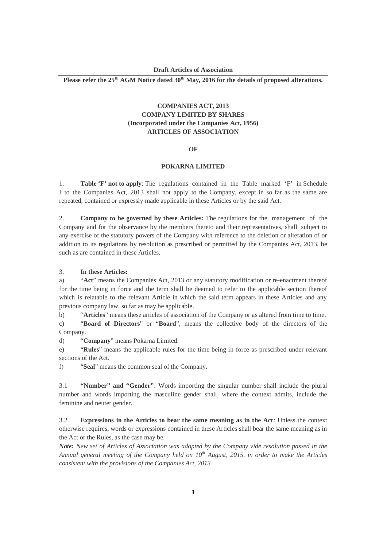**Please refer the 25th AGM Notice dated 30th May, 2016 for the details of proposed alterations.**

# **COMPANIES ACT, 2013 COMPANY LIMITED BY SHARES (Incorporated under the Companies Act, 1956) ARTICLES OF ASSOCIATION**

#### **OF**

## **POKARNA LIMITED**

1. **Table 'F' not to apply**: The regulations contained in the Table marked 'F' in Schedule I to the Companies Act, 2013 shall not apply to the Company, except in so far as the same are repeated, contained or expressly made applicable in these Articles or by the said Act.

2. **Company to be governed by these Articles:** The regulations for the management of the Company and for the observance by the members thereto and their representatives, shall, subject to any exercise of the statutory powers of the Company with reference to the deletion or alteration of or addition to its regulations by resolution as prescribed or permitted by the Companies Act, 2013, be such as are contained in these Articles.

#### 3. **In these Articles:**

a) "**Act**" means the Companies Act, 2013 or any statutory modification or re-enactment thereof for the time being in force and the term shall be deemed to refer to the applicable section thereof which is relatable to the relevant Article in which the said term appears in these Articles and any previous company law, so far as may be applicable.

b) "**Articles**" means these articles of association of the Company or as altered from time to time.

c) "**Board of Directors**" or "**Board**", means the collective body of the directors of the Company.

d) "**Company**" means Pokarna Limited.

e) "**Rules**" means the applicable rules for the time being in force as prescribed under relevant sections of the Act.

f) "**Seal**" means the common seal of the Company.

3.1 **"Number" and "Gender"**: Words importing the singular number shall include the plural number and words importing the masculine gender shall, where the context admits, include the feminine and neuter gender.

3.2 **Expressions in the Articles to bear the same meaning as in the Act**: Unless the context otherwise requires, words or expressions contained in these Articles shall bear the same meaning as in the Act or the Rules, as the case may be.

*Note: New set of Articles of Association was adopted by the Company vide resolution passed in the Annual general meeting of the Company held on 10th August, 2015, in order to make the Articles consistent with the provisions of the Companies Act, 2013.*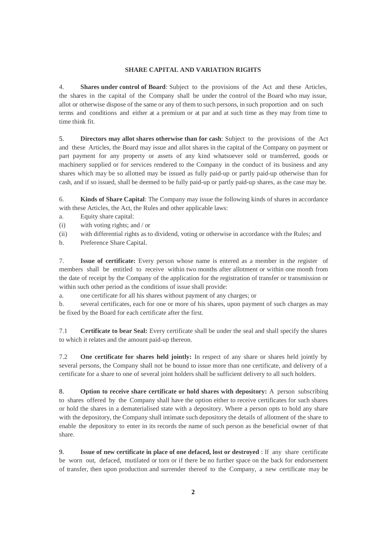### **SHARE CAPITAL AND VARIATION RIGHTS**

4. **Shares under control of Board**: Subject to the provisions of the Act and these Articles, the shares in the capital of the Company shall be under the control of the Board who may issue, allot or otherwise dispose of the same or any of them to such persons, in such proportion and on such terms and conditions and either at a premium or at par and at such time as they may from time to time think fit.

5. **Directors may allot shares otherwise than for cash**: Subject to the provisions of the Act and these Articles, the Board may issue and allot shares in the capital of the Company on payment or part payment for any property or assets of any kind whatsoever sold or transferred, goods or machinery supplied or for services rendered to the Company in the conduct of its business and any shares which may be so allotted may be issued as fully paid-up or partly paid-up otherwise than for cash, and if so issued, shall be deemed to be fully paid-up or partly paid-up shares, as the case may be.

6. **Kinds of Share Capital**: The Company may issue the following kinds of shares in accordance with these Articles, the Act, the Rules and other applicable laws:

- a. Equity share capital:
- (i) with voting rights; and / or
- (ii) with differential rights as to dividend, voting or otherwise in accordance with the Rules; and
- b. Preference Share Capital.

7. **Issue of certificate:** Every person whose name is entered as a member in the register of members shall be entitled to receive within two months after allotment or within one month from the date of receipt by the Company of the application for the registration of transfer or transmission or within such other period as the conditions of issue shall provide:

a. one certificate for all his shares without payment of any charges; or

b. several certificates, each for one or more of his shares, upon payment of such charges as may be fixed by the Board for each certificate after the first.

7.1 **Certificate to bear Seal:** Every certificate shall be under the seal and shall specify the shares to which it relates and the amount paid-up thereon.

7.2 **One certificate for shares held jointly:** In respect of any share or shares held jointly by several persons, the Company shall not be bound to issue more than one certificate, and delivery of a certificate for a share to one of several joint holders shall be sufficient delivery to all such holders.

8. **Option to receive share certificate or hold shares with depository:** A person subscribing to shares offered by the Company shall have the option either to receive certificates for such shares or hold the shares in a dematerialised state with a depository. Where a person opts to hold any share with the depository, the Company shall intimate such depository the details of allotment of the share to enable the depository to enter in its records the name of such person as the beneficial owner of that share.

9. **Issue of new certificate in place of one defaced, lost or destroyed** : If any share certificate be worn out, defaced, mutilated or torn or if there be no further space on the back for endorsement of transfer, then upon production and surrender thereof to the Company, a new certificate may be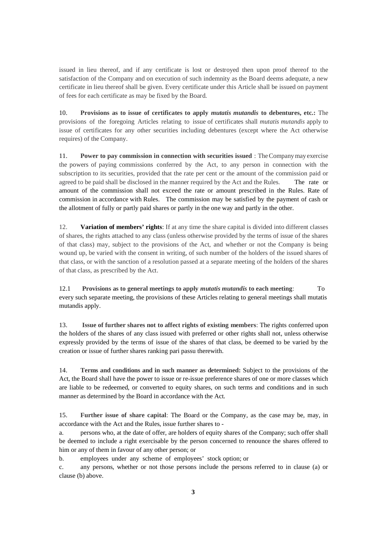issued in lieu thereof, and if any certificate is lost or destroyed then upon proof thereof to the satisfaction of the Company and on execution of such indemnity as the Board deems adequate, a new certificate in lieu thereof shall be given. Every certificate under this Article shall be issued on payment of fees for each certificate as may be fixed by the Board.

10. **Provisions as to issue of certificates to apply** *mutatis mutandis* **to debentures, etc.:** The provisions of the foregoing Articles relating to issue of certificates shall *mutatis mutandis* apply to issue of certificates for any other securities including debentures (except where the Act otherwise requires) of the Company.

11. **Power to pay commission in connection with securities issued** : The Company may exercise the powers of paying commissions conferred by the Act, to any person in connection with the subscription to its securities, provided that the rate per cent or the amount of the commission paid or agreed to be paid shall be disclosed in the manner required by the Act and the Rules. The rate or amount of the commission shall not exceed the rate or amount prescribed in the Rules. Rate of commission in accordance with Rules. The commission may be satisfied by the payment of cash or the allotment of fully or partly paid shares or partly in the one way and partly in the other.

12. **Variation of members' rights**: If at any time the share capital is divided into different classes of shares, the rights attached to any class (unless otherwise provided by the terms of issue of the shares of that class) may, subject to the provisions of the Act, and whether or not the Company is being wound up, be varied with the consent in writing, of such number of the holders of the issued shares of that class, or with the sanction of a resolution passed at a separate meeting of the holders of the shares of that class, as prescribed by the Act.

12.1 **Provisions as to general meetings to apply** *mutatis mutandis* **to each meeting**: To every such separate meeting, the provisions of these Articles relating to general meetings shall mutatis mutandis apply.

13. **Issue of further shares not to affect rights of existing members**: The rights conferred upon the holders of the shares of any class issued with preferred or other rights shall not, unless otherwise expressly provided by the terms of issue of the shares of that class, be deemed to be varied by the creation or issue of further shares ranking pari passu therewith.

14. **Terms and conditions and in such manner as determined:** Subject to the provisions of the Act, the Board shall have the power to issue or re-issue preference shares of one or more classes which are liable to be redeemed, or converted to equity shares, on such terms and conditions and in such manner as determined by the Board in accordance with the Act.

15. **Further issue of share capital**: The Board or the Company, as the case may be, may, in accordance with the Act and the Rules, issue further shares to -

a. persons who, at the date of offer, are holders of equity shares of the Company; such offer shall be deemed to include a right exercisable by the person concerned to renounce the shares offered to him or any of them in favour of any other person; or

b. employees under any scheme of employees' stock option; or

c. any persons, whether or not those persons include the persons referred to in clause (a) or clause (b) above.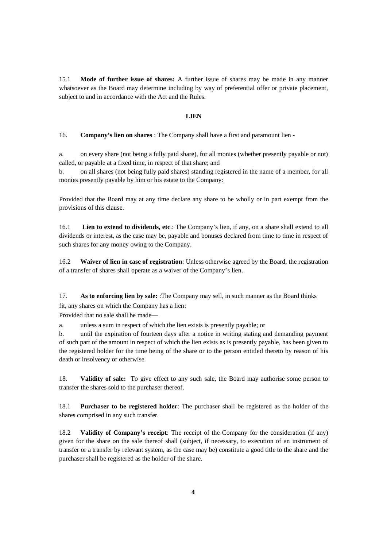15.1 **Mode of further issue of shares:** A further issue of shares may be made in any manner whatsoever as the Board may determine including by way of preferential offer or private placement, subject to and in accordance with the Act and the Rules.

#### **LIEN**

# 16. **Company's lien on shares** : The Company shall have a first and paramount lien -

a. on every share (not being a fully paid share), for all monies (whether presently payable or not) called, or payable at a fixed time, in respect of that share; and

b. on all shares (not being fully paid shares) standing registered in the name of a member, for all monies presently payable by him or his estate to the Company:

Provided that the Board may at any time declare any share to be wholly or in part exempt from the provisions of this clause.

16.1 **Lien to extend to dividends, etc**.: The Company's lien, if any, on a share shall extend to all dividends or interest, as the case may be, payable and bonuses declared from time to time in respect of such shares for any money owing to the Company.

16.2 **Waiver of lien in case of registration**: Unless otherwise agreed by the Board, the registration of a transfer of shares shall operate as a waiver of the Company's lien.

17. **As to enforcing lien by sale:** :The Company may sell, in such manner as the Board thinks fit, any shares on which the Company has a lien:

Provided that no sale shall be made—

a. unless a sum in respect of which the lien exists is presently payable; or

b. until the expiration of fourteen days after a notice in writing stating and demanding payment of such part of the amount in respect of which the lien exists as is presently payable, has been given to the registered holder for the time being of the share or to the person entitled thereto by reason of his death or insolvency or otherwise.

18. **Validity of sale:** To give effect to any such sale, the Board may authorise some person to transfer the shares sold to the purchaser thereof.

18.1 **Purchaser to be registered holder**: The purchaser shall be registered as the holder of the shares comprised in any such transfer.

18.2 **Validity of Company's receipt**: The receipt of the Company for the consideration (if any) given for the share on the sale thereof shall (subject, if necessary, to execution of an instrument of transfer or a transfer by relevant system, as the case may be) constitute a good title to the share and the purchaser shall be registered as the holder of the share.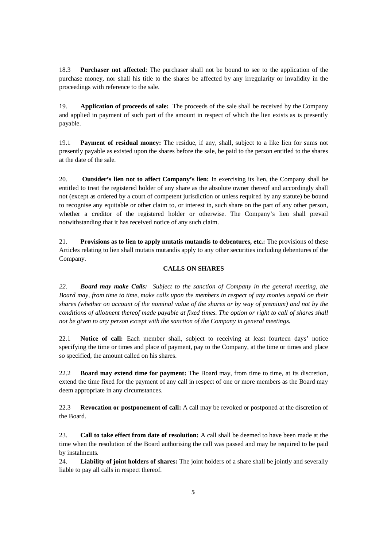18.3 **Purchaser not affected**: The purchaser shall not be bound to see to the application of the purchase money, nor shall his title to the shares be affected by any irregularity or invalidity in the proceedings with reference to the sale.

19. **Application of proceeds of sale:** The proceeds of the sale shall be received by the Company and applied in payment of such part of the amount in respect of which the lien exists as is presently payable.

19.1 **Payment of residual money:** The residue, if any, shall, subject to a like lien for sums not presently payable as existed upon the shares before the sale, be paid to the person entitled to the shares at the date of the sale.

20. **Outsider's lien not to affect Company's lien:** In exercising its lien, the Company shall be entitled to treat the registered holder of any share as the absolute owner thereof and accordingly shall not (except as ordered by a court of competent jurisdiction or unless required by any statute) be bound to recognise any equitable or other claim to, or interest in, such share on the part of any other person, whether a creditor of the registered holder or otherwise. The Company's lien shall prevail notwithstanding that it has received notice of any such claim.

21. **Provisions as to lien to apply mutatis mutandis to debentures, etc.:** The provisions of these Articles relating to lien shall mutatis mutandis apply to any other securities including debentures of the Company.

## **CALLS ON SHARES**

*22. Board may make Calls: Subject to the sanction of Company in the general meeting, the Board may, from time to time, make calls upon the members in respect of any monies unpaid on their shares (whether on account of the nominal value of the shares or by way of premium) and not by the conditions of allotment thereof made payable at fixed times. The option or right to call of shares shall not be given to any person except with the sanction of the Company in general meetings.*

22.1 **Notice of call:** Each member shall, subject to receiving at least fourteen days' notice specifying the time or times and place of payment, pay to the Company, at the time or times and place so specified, the amount called on his shares.

22.2 **Board may extend time for payment:** The Board may, from time to time, at its discretion, extend the time fixed for the payment of any call in respect of one or more members as the Board may deem appropriate in any circumstances.

22.3 **Revocation or postponement of call:** A call may be revoked or postponed at the discretion of the Board.

23. **Call to take effect from date of resolution:** A call shall be deemed to have been made at the time when the resolution of the Board authorising the call was passed and may be required to be paid by instalments.

24. **Liability of joint holders of shares:** The joint holders of a share shall be jointly and severally liable to pay all calls in respect thereof.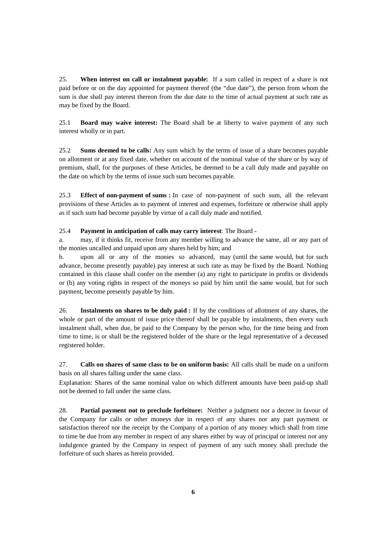25. **When interest on call or instalment payable:** If a sum called in respect of a share is not paid before or on the day appointed for payment thereof (the "due date"), the person from whom the sum is due shall pay interest thereon from the due date to the time of actual payment at such rate as may be fixed by the Board.

25.1 **Board may waive interest:** The Board shall be at liberty to waive payment of any such interest wholly or in part.

25.2 **Sums deemed to be calls:** Any sum which by the terms of issue of a share becomes payable on allotment or at any fixed date, whether on account of the nominal value of the share or by way of premium, shall, for the purposes of these Articles, be deemed to be a call duly made and payable on the date on which by the terms of issue such sum becomes payable.

25.3 **Effect of non-payment of sums :** In case of non-payment of such sum, all the relevant provisions of these Articles as to payment of interest and expenses, forfeiture or otherwise shall apply as if such sum had become payable by virtue of a call duly made and notified.

### 25.4 **Payment in anticipation of calls may carry interest**: The Board -

a. may, if it thinks fit, receive from any member willing to advance the same, all or any part of the monies uncalled and unpaid upon any shares held by him; and

b. upon all or any of the monies so advanced, may (until the same would, but for such advance, become presently payable) pay interest at such rate as may be fixed by the Board. Nothing contained in this clause shall confer on the member (a) any right to participate in profits or dividends or (b) any voting rights in respect of the moneys so paid by him until the same would, but for such payment, become presently payable by him.

26. **Instalments on shares to be duly paid :** If by the conditions of allotment of any shares, the whole or part of the amount of issue price thereof shall be payable by instalments, then every such instalment shall, when due, be paid to the Company by the person who, for the time being and from time to time, is or shall be the registered holder of the share or the legal representative of a deceased registered holder.

27. **Calls on shares of same class to be on uniform basis:** All calls shall be made on a uniform basis on all shares falling under the same class.

Explanation: Shares of the same nominal value on which different amounts have been paid-up shall not be deemed to fall under the same class.

28. **Partial payment not to preclude forfeiture:** Neither a judgment nor a decree in favour of the Company for calls or other moneys due in respect of any shares nor any part payment or satisfaction thereof nor the receipt by the Company of a portion of any money which shall from time to time be due from any member in respect of any shares either by way of principal or interest nor any indulgence granted by the Company in respect of payment of any such money shall preclude the forfeiture of such shares as herein provided.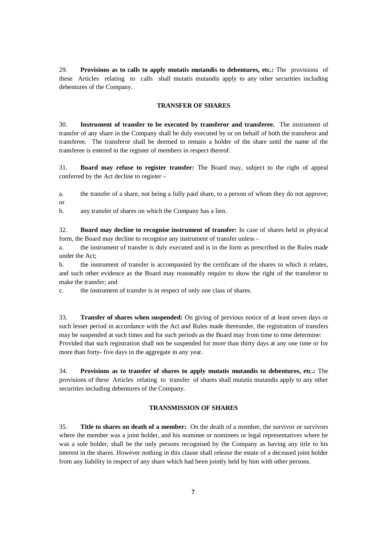29. **Provisions as to calls to apply mutatis mutandis to debentures, etc.:** The provisions of these Articles relating to calls shall mutatis mutandis apply to any other securities including debentures of the Company.

### **TRANSFER OF SHARES**

30. **Instrument of transfer to be executed by transferor and transferee.** The instrument of transfer of any share in the Company shall be duly executed by or on behalf of both the transferor and transferee. The transferor shall be deemed to remain a holder of the share until the name of the transferee is entered in the register of members in respect thereof.

31. **Board may refuse to register transfer:** The Board may, subject to the right of appeal conferred by the Act decline to register –

a. the transfer of a share, not being a fully paid share, to a person of whom they do not approve; or

b. any transfer of shares on which the Company has a lien.

32. **Board may decline to recognise instrument of transfer:** In case of shares held in physical form, the Board may decline to recognise any instrument of transfer unless -

a. the instrument of transfer is duly executed and is in the form as prescribed in the Rules made under the Act;

b. the instrument of transfer is accompanied by the certificate of the shares to which it relates, and such other evidence as the Board may reasonably require to show the right of the transferor to make the transfer; and

c. the instrument of transfer is in respect of only one class of shares.

33. **Transfer of shares when suspended:** On giving of previous notice of at least seven days or such lesser period in accordance with the Act and Rules made thereunder, the registration of transfers may be suspended at such times and for such periods as the Board may from time to time determine: Provided that such registration shall not be suspended for more than thirty days at any one time or for more than forty- five days in the aggregate in any year.

34. **Provisions as to transfer of shares to apply mutatis mutandis to debentures, etc.:** The provisions of these Articles relating to transfer of shares shall mutatis mutandis apply to any other securities including debentures of the Company.

# **TRANSMISSION OF SHARES**

35. **Title to shares on death of a member:** On the death of a member, the survivor or survivors where the member was a joint holder, and his nominee or nominees or legal representatives where he was a sole holder, shall be the only persons recognised by the Company as having any title to his interest in the shares. However nothing in this clause shall release the estate of a deceased joint holder from any liability in respect of any share which had been jointly held by him with other persons.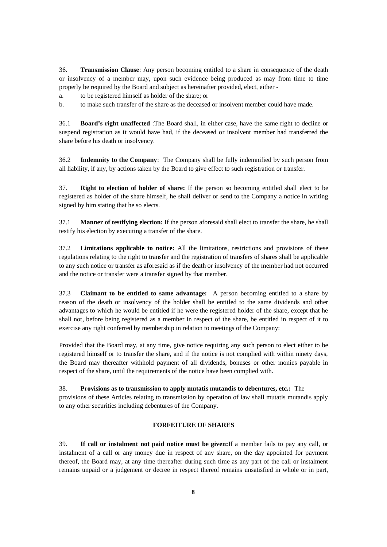36. **Transmission Clause**: Any person becoming entitled to a share in consequence of the death or insolvency of a member may, upon such evidence being produced as may from time to time properly be required by the Board and subject as hereinafter provided, elect, either -

a. to be registered himself as holder of the share; or

b. to make such transfer of the share as the deceased or insolvent member could have made.

36.1 **Board's right unaffected** :The Board shall, in either case, have the same right to decline or suspend registration as it would have had, if the deceased or insolvent member had transferred the share before his death or insolvency.

36.2 **Indemnity to the Company**: The Company shall be fully indemnified by such person from all liability, if any, by actions taken by the Board to give effect to such registration or transfer.

37. **Right to election of holder of share:** If the person so becoming entitled shall elect to be registered as holder of the share himself, he shall deliver or send to the Company a notice in writing signed by him stating that he so elects.

37.1 **Manner of testifying election:** If the person aforesaid shall elect to transfer the share, he shall testify his election by executing a transfer of the share.

37.2 **Limitations applicable to notice:** All the limitations, restrictions and provisions of these regulations relating to the right to transfer and the registration of transfers of shares shall be applicable to any such notice or transfer as aforesaid as if the death or insolvency of the member had not occurred and the notice or transfer were a transfer signed by that member.

37.3 **Claimant to be entitled to same advantage:** A person becoming entitled to a share by reason of the death or insolvency of the holder shall be entitled to the same dividends and other advantages to which he would be entitled if he were the registered holder of the share, except that he shall not, before being registered as a member in respect of the share, be entitled in respect of it to exercise any right conferred by membership in relation to meetings of the Company:

Provided that the Board may, at any time, give notice requiring any such person to elect either to be registered himself or to transfer the share, and if the notice is not complied with within ninety days, the Board may thereafter withhold payment of all dividends, bonuses or other monies payable in respect of the share, until the requirements of the notice have been complied with.

38. **Provisions as to transmission to apply mutatis mutandis to debentures, etc.:** The

provisions of these Articles relating to transmission by operation of law shall mutatis mutandis apply to any other securities including debentures of the Company.

## **FORFEITURE OF SHARES**

39. **If call or instalment not paid notice must be given:**If a member fails to pay any call, or instalment of a call or any money due in respect of any share, on the day appointed for payment thereof, the Board may, at any time thereafter during such time as any part of the call or instalment remains unpaid or a judgement or decree in respect thereof remains unsatisfied in whole or in part,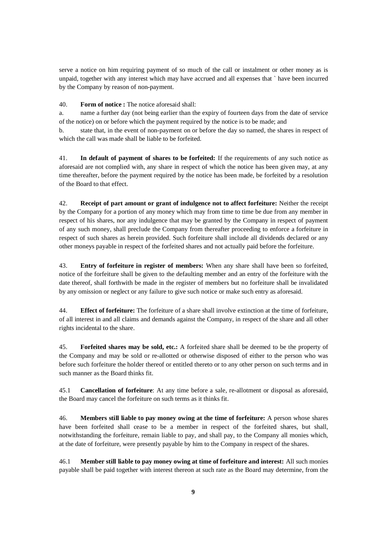serve a notice on him requiring payment of so much of the call or instalment or other money as is unpaid, together with any interest which may have accrued and all expenses that ` have been incurred by the Company by reason of non-payment.

## 40. **Form of notice :** The notice aforesaid shall:

a. name a further day (not being earlier than the expiry of fourteen days from the date of service of the notice) on or before which the payment required by the notice is to be made; and

b. state that, in the event of non-payment on or before the day so named, the shares in respect of which the call was made shall be liable to be forfeited.

41. **In default of payment of shares to be forfeited:** If the requirements of any such notice as aforesaid are not complied with, any share in respect of which the notice has been given may, at any time thereafter, before the payment required by the notice has been made, be forfeited by a resolution of the Board to that effect.

42. **Receipt of part amount or grant of indulgence not to affect forfeiture:** Neither the receipt by the Company for a portion of any money which may from time to time be due from any member in respect of his shares, nor any indulgence that may be granted by the Company in respect of payment of any such money, shall preclude the Company from thereafter proceeding to enforce a forfeiture in respect of such shares as herein provided. Such forfeiture shall include all dividends declared or any other moneys payable in respect of the forfeited shares and not actually paid before the forfeiture.

43. **Entry of forfeiture in register of members:** When any share shall have been so forfeited, notice of the forfeiture shall be given to the defaulting member and an entry of the forfeiture with the date thereof, shall forthwith be made in the register of members but no forfeiture shall be invalidated by any omission or neglect or any failure to give such notice or make such entry as aforesaid.

44. **Effect of forfeiture:** The forfeiture of a share shall involve extinction at the time of forfeiture, of all interest in and all claims and demands against the Company, in respect of the share and all other rights incidental to the share.

45. **Forfeited shares may be sold, etc.:** A forfeited share shall be deemed to be the property of the Company and may be sold or re-allotted or otherwise disposed of either to the person who was before such forfeiture the holder thereof or entitled thereto or to any other person on such terms and in such manner as the Board thinks fit.

45.1 **Cancellation of forfeiture**: At any time before a sale, re-allotment or disposal as aforesaid, the Board may cancel the forfeiture on such terms as it thinks fit.

46. **Members still liable to pay money owing at the time of forfeiture:** A person whose shares have been forfeited shall cease to be a member in respect of the forfeited shares, but shall, notwithstanding the forfeiture, remain liable to pay, and shall pay, to the Company all monies which, at the date of forfeiture, were presently payable by him to the Company in respect of the shares.

46.1 **Member still liable to pay money owing at time of forfeiture and interest:** All such monies payable shall be paid together with interest thereon at such rate as the Board may determine, from the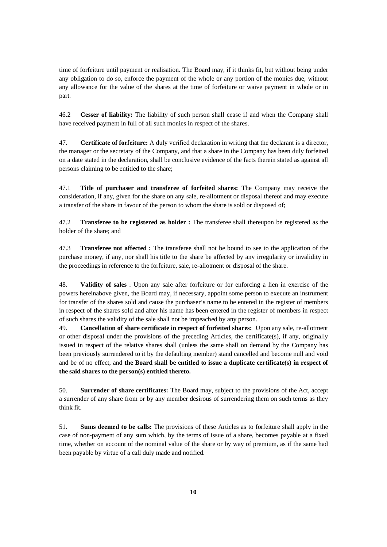time of forfeiture until payment or realisation. The Board may, if it thinks fit, but without being under any obligation to do so, enforce the payment of the whole or any portion of the monies due, without any allowance for the value of the shares at the time of forfeiture or waive payment in whole or in part.

46.2 **Cesser of liability:** The liability of such person shall cease if and when the Company shall have received payment in full of all such monies in respect of the shares.

47. **Certificate of forfeiture:** A duly verified declaration in writing that the declarant is a director, the manager or the secretary of the Company, and that a share in the Company has been duly forfeited on a date stated in the declaration, shall be conclusive evidence of the facts therein stated as against all persons claiming to be entitled to the share;

47.1 **Title of purchaser and transferee of forfeited shares:** The Company may receive the consideration, if any, given for the share on any sale, re-allotment or disposal thereof and may execute a transfer of the share in favour of the person to whom the share is sold or disposed of;

47.2 **Transferee to be registered as holder :** The transferee shall thereupon be registered as the holder of the share; and

47.3 **Transferee not affected :** The transferee shall not be bound to see to the application of the purchase money, if any, nor shall his title to the share be affected by any irregularity or invalidity in the proceedings in reference to the forfeiture, sale, re-allotment or disposal of the share.

48. **Validity of sales** : Upon any sale after forfeiture or for enforcing a lien in exercise of the powers hereinabove given, the Board may, if necessary, appoint some person to execute an instrument for transfer of the shares sold and cause the purchaser's name to be entered in the register of members in respect of the shares sold and after his name has been entered in the register of members in respect of such shares the validity of the sale shall not be impeached by any person.

49. **Cancellation of share certificate in respect of forfeited shares:** Upon any sale, re-allotment or other disposal under the provisions of the preceding Articles, the certificate(s), if any, originally issued in respect of the relative shares shall (unless the same shall on demand by the Company has been previously surrendered to it by the defaulting member) stand cancelled and become null and void and be of no effect, and **the Board shall be entitled to issue a duplicate certificate(s) in respect of the said shares to the person(s) entitled thereto.**

50. **Surrender of share certificates:** The Board may, subject to the provisions of the Act, accept a surrender of any share from or by any member desirous of surrendering them on such terms as they think fit.

51. **Sums deemed to be calls:** The provisions of these Articles as to forfeiture shall apply in the case of non-payment of any sum which, by the terms of issue of a share, becomes payable at a fixed time, whether on account of the nominal value of the share or by way of premium, as if the same had been payable by virtue of a call duly made and notified.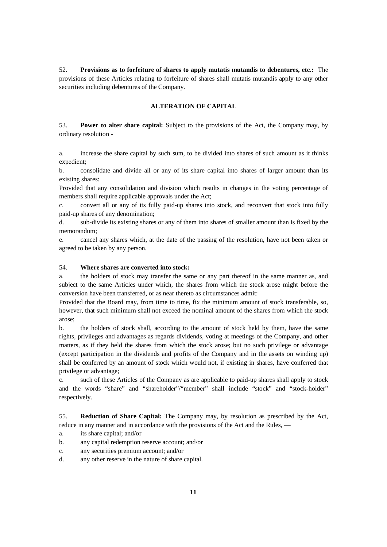52. **Provisions as to forfeiture of shares to apply mutatis mutandis to debentures, etc.:** The provisions of these Articles relating to forfeiture of shares shall mutatis mutandis apply to any other securities including debentures of the Company.

### **ALTERATION OF CAPITAL**

53. **Power to alter share capital:** Subject to the provisions of the Act, the Company may, by ordinary resolution -

a. increase the share capital by such sum, to be divided into shares of such amount as it thinks expedient;

b. consolidate and divide all or any of its share capital into shares of larger amount than its existing shares:

Provided that any consolidation and division which results in changes in the voting percentage of members shall require applicable approvals under the Act;

c. convert all or any of its fully paid-up shares into stock, and reconvert that stock into fully paid-up shares of any denomination;

d. sub-divide its existing shares or any of them into shares of smaller amount than is fixed by the memorandum;

e. cancel any shares which, at the date of the passing of the resolution, have not been taken or agreed to be taken by any person.

### 54. **Where shares are converted into stock:**

a. the holders of stock may transfer the same or any part thereof in the same manner as, and subject to the same Articles under which, the shares from which the stock arose might before the conversion have been transferred, or as near thereto as circumstances admit:

Provided that the Board may, from time to time, fix the minimum amount of stock transferable, so, however, that such minimum shall not exceed the nominal amount of the shares from which the stock arose;

b. the holders of stock shall, according to the amount of stock held by them, have the same rights, privileges and advantages as regards dividends, voting at meetings of the Company, and other matters, as if they held the shares from which the stock arose; but no such privilege or advantage (except participation in the dividends and profits of the Company and in the assets on winding up) shall be conferred by an amount of stock which would not, if existing in shares, have conferred that privilege or advantage;

c. such of these Articles of the Company as are applicable to paid-up shares shall apply to stock and the words "share" and "shareholder"/"member" shall include "stock" and "stock-holder" respectively.

55. **Reduction of Share Capital:** The Company may, by resolution as prescribed by the Act, reduce in any manner and in accordance with the provisions of the Act and the Rules, —

- a. its share capital; and/or
- b. any capital redemption reserve account; and/or
- c. any securities premium account; and/or
- d. any other reserve in the nature of share capital.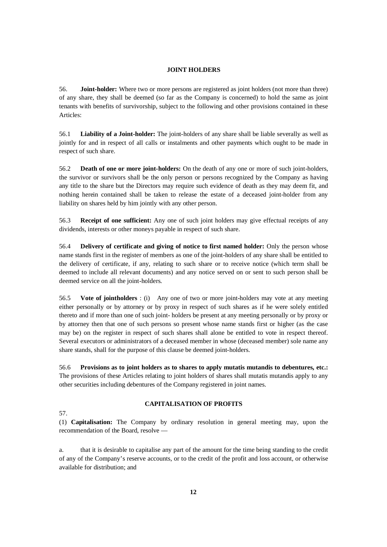### **JOINT HOLDERS**

56. **Joint-holder:** Where two or more persons are registered as joint holders (not more than three) of any share, they shall be deemed (so far as the Company is concerned) to hold the same as joint tenants with benefits of survivorship, subject to the following and other provisions contained in these Articles:

56.1 **Liability of a Joint-holder:** The joint-holders of any share shall be liable severally as well as jointly for and in respect of all calls or instalments and other payments which ought to be made in respect of such share.

56.2 **Death of one or more joint-holders:** On the death of any one or more of such joint-holders, the survivor or survivors shall be the only person or persons recognized by the Company as having any title to the share but the Directors may require such evidence of death as they may deem fit, and nothing herein contained shall be taken to release the estate of a deceased joint-holder from any liability on shares held by him jointly with any other person.

56.3 **Receipt of one sufficient:** Any one of such joint holders may give effectual receipts of any dividends, interests or other moneys payable in respect of such share.

56.4 **Delivery of certificate and giving of notice to first named holder:** Only the person whose name stands first in the register of members as one of the joint-holders of any share shall be entitled to the delivery of certificate, if any, relating to such share or to receive notice (which term shall be deemed to include all relevant documents) and any notice served on or sent to such person shall be deemed service on all the joint-holders.

56.5 **Vote of jointholders** : (i) Any one of two or more joint-holders may vote at any meeting either personally or by attorney or by proxy in respect of such shares as if he were solely entitled thereto and if more than one of such joint- holders be present at any meeting personally or by proxy or by attorney then that one of such persons so present whose name stands first or higher (as the case may be) on the register in respect of such shares shall alone be entitled to vote in respect thereof. Several executors or administrators of a deceased member in whose (deceased member) sole name any share stands, shall for the purpose of this clause be deemed joint-holders.

56.6 **Provisions as to joint holders as to shares to apply mutatis mutandis to debentures, etc.:** The provisions of these Articles relating to joint holders of shares shall mutatis mutandis apply to any other securities including debentures of the Company registered in joint names.

57.

# **CAPITALISATION OF PROFITS**

(1) **Capitalisation:** The Company by ordinary resolution in general meeting may, upon the recommendation of the Board, resolve —

a. that it is desirable to capitalise any part of the amount for the time being standing to the credit of any of the Company's reserve accounts, or to the credit of the profit and loss account, or otherwise available for distribution; and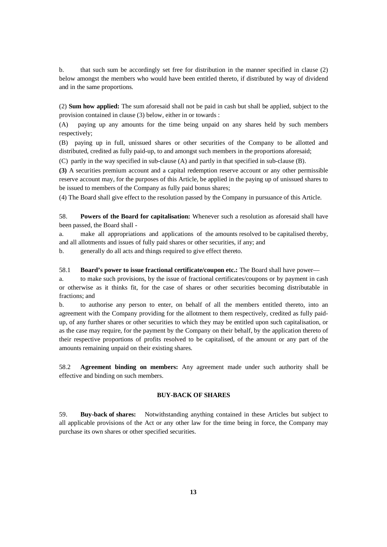b. that such sum be accordingly set free for distribution in the manner specified in clause (2) below amongst the members who would have been entitled thereto, if distributed by way of dividend and in the same proportions.

(2) **Sum how applied:** The sum aforesaid shall not be paid in cash but shall be applied, subject to the provision contained in clause (3) below, either in or towards :

(A) paying up any amounts for the time being unpaid on any shares held by such members respectively;

(B) paying up in full, unissued shares or other securities of the Company to be allotted and distributed, credited as fully paid-up, to and amongst such members in the proportions aforesaid;

(C) partly in the way specified in sub-clause (A) and partly in that specified in sub-clause (B).

**(3)** A securities premium account and a capital redemption reserve account or any other permissible reserve account may, for the purposes of this Article, be applied in the paying up of unissued shares to be issued to members of the Company as fully paid bonus shares;

(4) The Board shall give effect to the resolution passed by the Company in pursuance of this Article.

58. **Powers of the Board for capitalisation:** Whenever such a resolution as aforesaid shall have been passed, the Board shall -

a. make all appropriations and applications of the amounts resolved to be capitalised thereby, and all allotments and issues of fully paid shares or other securities, if any; and

b. generally do all acts and things required to give effect thereto.

#### 58.1 **Board's power to issue fractional certificate/coupon etc.:** The Board shall have power—

a. to make such provisions, by the issue of fractional certificates/coupons or by payment in cash or otherwise as it thinks fit, for the case of shares or other securities becoming distributable in fractions; and

b. to authorise any person to enter, on behalf of all the members entitled thereto, into an agreement with the Company providing for the allotment to them respectively, credited as fully paidup, of any further shares or other securities to which they may be entitled upon such capitalisation, or as the case may require, for the payment by the Company on their behalf, by the application thereto of their respective proportions of profits resolved to be capitalised, of the amount or any part of the amounts remaining unpaid on their existing shares.

58.2 **Agreement binding on members:** Any agreement made under such authority shall be effective and binding on such members.

## **BUY-BACK OF SHARES**

59. **Buy-back of shares:** Notwithstanding anything contained in these Articles but subject to all applicable provisions of the Act or any other law for the time being in force, the Company may purchase its own shares or other specified securities.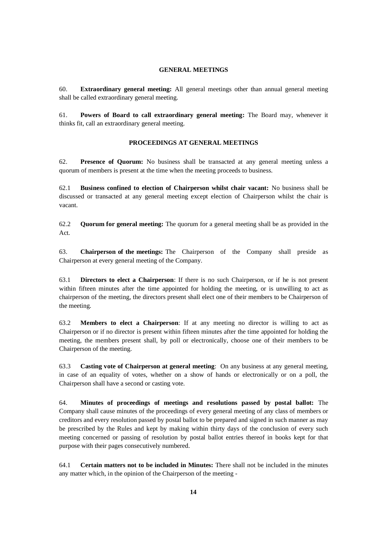#### **GENERAL MEETINGS**

60. **Extraordinary general meeting:** All general meetings other than annual general meeting shall be called extraordinary general meeting.

61. **Powers of Board to call extraordinary general meeting:** The Board may, whenever it thinks fit, call an extraordinary general meeting.

### **PROCEEDINGS AT GENERAL MEETINGS**

62. **Presence of Quorum:** No business shall be transacted at any general meeting unless a quorum of members is present at the time when the meeting proceeds to business.

62.1 **Business confined to election of Chairperson whilst chair vacant:** No business shall be discussed or transacted at any general meeting except election of Chairperson whilst the chair is vacant.

62.2 **Quorum for general meeting:** The quorum for a general meeting shall be as provided in the Act.

63. **Chairperson of the meetings:** The Chairperson of the Company shall preside as Chairperson at every general meeting of the Company.

63.1 **Directors to elect a Chairperson**: If there is no such Chairperson, or if he is not present within fifteen minutes after the time appointed for holding the meeting, or is unwilling to act as chairperson of the meeting, the directors present shall elect one of their members to be Chairperson of the meeting.

63.2 **Members to elect a Chairperson**: If at any meeting no director is willing to act as Chairperson or if no director is present within fifteen minutes after the time appointed for holding the meeting, the members present shall, by poll or electronically, choose one of their members to be Chairperson of the meeting.

63.3 **Casting vote of Chairperson at general meeting**: On any business at any general meeting, in case of an equality of votes, whether on a show of hands or electronically or on a poll, the Chairperson shall have a second or casting vote.

64. **Minutes of proceedings of meetings and resolutions passed by postal ballot:** The Company shall cause minutes of the proceedings of every general meeting of any class of members or creditors and every resolution passed by postal ballot to be prepared and signed in such manner as may be prescribed by the Rules and kept by making within thirty days of the conclusion of every such meeting concerned or passing of resolution by postal ballot entries thereof in books kept for that purpose with their pages consecutively numbered.

64.1 **Certain matters not to be included in Minutes:** There shall not be included in the minutes any matter which, in the opinion of the Chairperson of the meeting -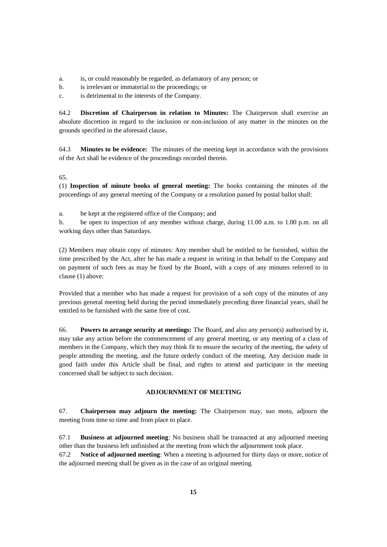- a. is, or could reasonably be regarded, as defamatory of any person; or
- b. is irrelevant or immaterial to the proceedings; or

c. is detrimental to the interests of the Company.

64.2 **Discretion of Chairperson in relation to Minutes:** The Chairperson shall exercise an absolute discretion in regard to the inclusion or non-inclusion of any matter in the minutes on the grounds specified in the aforesaid clause**.**

64.3 **Minutes to be evidence:** The minutes of the meeting kept in accordance with the provisions of the Act shall be evidence of the proceedings recorded therein.

65.

(1) **Inspection of minute books of general meeting:** The books containing the minutes of the proceedings of any general meeting of the Company or a resolution passed by postal ballot shall:

a. be kept at the registered office of the Company; and

b. be open to inspection of any member without charge, during 11.00 a.m. to 1.00 p.m. on all working days other than Saturdays.

(2) Members may obtain copy of minutes: Any member shall be entitled to be furnished, within the time prescribed by the Act, after he has made a request in writing in that behalf to the Company and on payment of such fees as may be fixed by the Board, with a copy of any minutes referred to in clause (1) above:

Provided that a member who has made a request for provision of a soft copy of the minutes of any previous general meeting held during the period immediately preceding three financial years, shall be entitled to be furnished with the same free of cost.

66. **Powers to arrange security at meetings:** The Board, and also any person(s) authorised by it, may take any action before the commencement of any general meeting, or any meeting of a class of members in the Company, which they may think fit to ensure the security of the meeting, the safety of people attending the meeting, and the future orderly conduct of the meeting. Any decision made in good faith under this Article shall be final, and rights to attend and participate in the meeting concerned shall be subject to such decision.

#### **ADJOURNMENT OF MEETING**

67. **Chairperson may adjourn the meeting:** The Chairperson may, suo motu, adjourn the meeting from time to time and from place to place.

67.1 **Business at adjourned meeting**: No business shall be transacted at any adjourned meeting other than the business left unfinished at the meeting from which the adjournment took place.

67.2 **Notice of adjourned meeting**: When a meeting is adjourned for thirty days or more, notice of the adjourned meeting shall be given as in the case of an original meeting.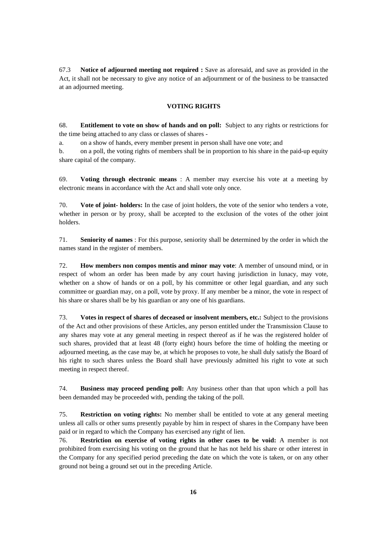67.3 **Notice of adjourned meeting not required :** Save as aforesaid, and save as provided in the Act, it shall not be necessary to give any notice of an adjournment or of the business to be transacted at an adjourned meeting.

## **VOTING RIGHTS**

68. **Entitlement to vote on show of hands and on poll:** Subject to any rights or restrictions for the time being attached to any class or classes of shares -

a. on a show of hands, every member present in person shall have one vote; and

b. on a poll, the voting rights of members shall be in proportion to his share in the paid-up equity share capital of the company.

69. **Voting through electronic means** : A member may exercise his vote at a meeting by electronic means in accordance with the Act and shall vote only once.

70. **Vote of joint- holders:** In the case of joint holders, the vote of the senior who tenders a vote, whether in person or by proxy, shall be accepted to the exclusion of the votes of the other joint holders.

71. **Seniority of names** : For this purpose, seniority shall be determined by the order in which the names stand in the register of members.

72. **How members non compos mentis and minor may vote**: A member of unsound mind, or in respect of whom an order has been made by any court having jurisdiction in lunacy, may vote, whether on a show of hands or on a poll, by his committee or other legal guardian, and any such committee or guardian may, on a poll, vote by proxy. If any member be a minor, the vote in respect of his share or shares shall be by his guardian or any one of his guardians.

73. **Votes in respect of shares of deceased or insolvent members, etc.:** Subject to the provisions of the Act and other provisions of these Articles, any person entitled under the Transmission Clause to any shares may vote at any general meeting in respect thereof as if he was the registered holder of such shares, provided that at least 48 (forty eight) hours before the time of holding the meeting or adjourned meeting, as the case may be, at which he proposes to vote, he shall duly satisfy the Board of his right to such shares unless the Board shall have previously admitted his right to vote at such meeting in respect thereof.

74. **Business may proceed pending poll:** Any business other than that upon which a poll has been demanded may be proceeded with, pending the taking of the poll.

75. **Restriction on voting rights:** No member shall be entitled to vote at any general meeting unless all calls or other sums presently payable by him in respect of shares in the Company have been paid or in regard to which the Company has exercised any right of lien.

76. **Restriction on exercise of voting rights in other cases to be void:** A member is not prohibited from exercising his voting on the ground that he has not held his share or other interest in the Company for any specified period preceding the date on which the vote is taken, or on any other ground not being a ground set out in the preceding Article.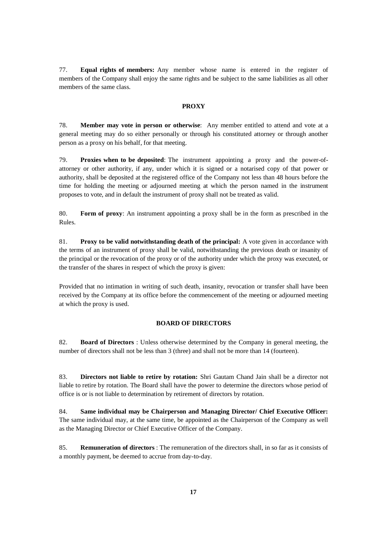77. **Equal rights of members:** Any member whose name is entered in the register of members of the Company shall enjoy the same rights and be subject to the same liabilities as all other members of the same class.

### **PROXY**

78. **Member may vote in person or otherwise**: Any member entitled to attend and vote at a general meeting may do so either personally or through his constituted attorney or through another person as a proxy on his behalf, for that meeting.

79. **Proxies when to be deposited**: The instrument appointing a proxy and the power-ofattorney or other authority, if any, under which it is signed or a notarised copy of that power or authority, shall be deposited at the registered office of the Company not less than 48 hours before the time for holding the meeting or adjourned meeting at which the person named in the instrument proposes to vote, and in default the instrument of proxy shall not be treated as valid.

80. **Form of proxy**: An instrument appointing a proxy shall be in the form as prescribed in the Rules.

81. **Proxy to be valid notwithstanding death of the principal:** A vote given in accordance with the terms of an instrument of proxy shall be valid, notwithstanding the previous death or insanity of the principal or the revocation of the proxy or of the authority under which the proxy was executed, or the transfer of the shares in respect of which the proxy is given:

Provided that no intimation in writing of such death, insanity, revocation or transfer shall have been received by the Company at its office before the commencement of the meeting or adjourned meeting at which the proxy is used.

### **BOARD OF DIRECTORS**

82. **Board of Directors** : Unless otherwise determined by the Company in general meeting, the number of directors shall not be less than 3 (three) and shall not be more than 14 (fourteen).

83. **Directors not liable to retire by rotation:** Shri Gautam Chand Jain shall be a director not liable to retire by rotation. The Board shall have the power to determine the directors whose period of office is or is not liable to determination by retirement of directors by rotation.

84. **Same individual may be Chairperson and Managing Director/ Chief Executive Officer:** The same individual may, at the same time, be appointed as the Chairperson of the Company as well as the Managing Director or Chief Executive Officer of the Company.

85. **Remuneration of directors** : The remuneration of the directors shall, in so far as it consists of a monthly payment, be deemed to accrue from day-to-day.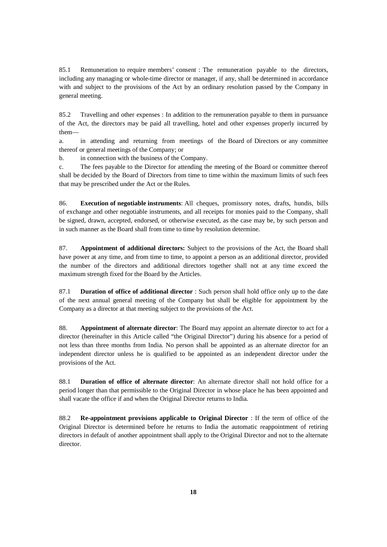85.1 Remuneration to require members' consent : The remuneration payable to the directors, including any managing or whole-time director or manager, if any, shall be determined in accordance with and subject to the provisions of the Act by an ordinary resolution passed by the Company in general meeting.

85.2 Travelling and other expenses : In addition to the remuneration payable to them in pursuance of the Act, the directors may be paid all travelling, hotel and other expenses properly incurred by them—

a. in attending and returning from meetings of the Board of Directors or any committee thereof or general meetings of the Company; or

b. in connection with the business of the Company.

c. The fees payable to the Director for attending the meeting of the Board or committee thereof shall be decided by the Board of Directors from time to time within the maximum limits of such fees that may be prescribed under the Act or the Rules.

86. **Execution of negotiable instruments**: All cheques, promissory notes, drafts, hundis, bills of exchange and other negotiable instruments, and all receipts for monies paid to the Company, shall be signed, drawn, accepted, endorsed, or otherwise executed, as the case may be, by such person and in such manner as the Board shall from time to time by resolution determine.

87. **Appointment of additional directors:** Subject to the provisions of the Act, the Board shall have power at any time, and from time to time, to appoint a person as an additional director, provided the number of the directors and additional directors together shall not at any time exceed the maximum strength fixed for the Board by the Articles.

87.1 **Duration of office of additional director** : Such person shall hold office only up to the date of the next annual general meeting of the Company but shall be eligible for appointment by the Company as a director at that meeting subject to the provisions of the Act.

88. **Appointment of alternate director**: The Board may appoint an alternate director to act for a director (hereinafter in this Article called "the Original Director") during his absence for a period of not less than three months from India. No person shall be appointed as an alternate director for an independent director unless he is qualified to be appointed as an independent director under the provisions of the Act.

88.1 **Duration of office of alternate director**: An alternate director shall not hold office for a period longer than that permissible to the Original Director in whose place he has been appointed and shall vacate the office if and when the Original Director returns to India.

88.2 **Re-appointment provisions applicable to Original Director** : If the term of office of the Original Director is determined before he returns to India the automatic reappointment of retiring directors in default of another appointment shall apply to the Original Director and not to the alternate director.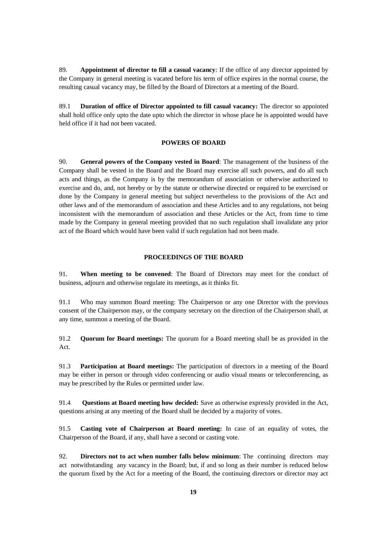89. **Appointment of director to fill a casual vacancy**: If the office of any director appointed by the Company in general meeting is vacated before his term of office expires in the normal course, the resulting casual vacancy may, be filled by the Board of Directors at a meeting of the Board.

89.1 **Duration of office of Director appointed to fill casual vacancy:** The director so appointed shall hold office only upto the date upto which the director in whose place he is appointed would have held office if it had not been vacated.

### **POWERS OF BOARD**

90. **General powers of the Company vested in Board**: The management of the business of the Company shall be vested in the Board and the Board may exercise all such powers, and do all such acts and things, as the Company is by the memorandum of association or otherwise authorized to exercise and do, and, not hereby or by the statute or otherwise directed or required to be exercised or done by the Company in general meeting but subject nevertheless to the provisions of the Act and other laws and of the memorandum of association and these Articles and to any regulations, not being inconsistent with the memorandum of association and these Articles or the Act, from time to time made by the Company in general meeting provided that no such regulation shall invalidate any prior act of the Board which would have been valid if such regulation had not been made.

#### **PROCEEDINGS OF THE BOARD**

91. **When meeting to be convened**: The Board of Directors may meet for the conduct of business, adjourn and otherwise regulate its meetings, as it thinks fit.

91.1 Who may summon Board meeting: The Chairperson or any one Director with the previous consent of the Chairperson may, or the company secretary on the direction of the Chairperson shall, at any time, summon a meeting of the Board.

91.2 **Quorum for Board meetings:** The quorum for a Board meeting shall be as provided in the Act.

91.3 **Participation at Board meetings:** The participation of directors in a meeting of the Board may be either in person or through video conferencing or audio visual means or teleconferencing, as may be prescribed by the Rules or permitted under law.

91.4 **Questions at Board meeting how decided:** Save as otherwise expressly provided in the Act, questions arising at any meeting of the Board shall be decided by a majority of votes.

91.5 **Casting vote of Chairperson at Board meeting:** In case of an equality of votes, the Chairperson of the Board, if any, shall have a second or casting vote.

92. **Directors not to act when number falls below minimum**: The continuing directors may act notwithstanding any vacancy in the Board; but, if and so long as their number is reduced below the quorum fixed by the Act for a meeting of the Board, the continuing directors or director may act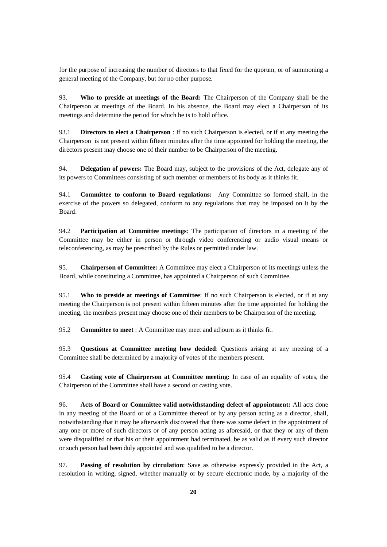for the purpose of increasing the number of directors to that fixed for the quorum, or of summoning a general meeting of the Company, but for no other purpose.

93. **Who to preside at meetings of the Board:** The Chairperson of the Company shall be the Chairperson at meetings of the Board. In his absence, the Board may elect a Chairperson of its meetings and determine the period for which he is to hold office.

93.1 **Directors to elect a Chairperson** : If no such Chairperson is elected, or if at any meeting the Chairperson is not present within fifteen minutes after the time appointed for holding the meeting, the directors present may choose one of their number to be Chairperson of the meeting.

94. **Delegation of powers:** The Board may, subject to the provisions of the Act, delegate any of its powers to Committees consisting of such member or members of its body as it thinks fit.

94.1 **Committee to conform to Board regulations:** Any Committee so formed shall, in the exercise of the powers so delegated, conform to any regulations that may be imposed on it by the Board.

94.2 **Participation at Committee meetings**: The participation of directors in a meeting of the Committee may be either in person or through video conferencing or audio visual means or teleconferencing, as may be prescribed by the Rules or permitted under law.

95. **Chairperson of Committee:** A Committee may elect a Chairperson of its meetings unless the Board, while constituting a Committee, has appointed a Chairperson of such Committee.

95.1 **Who to preside at meetings of Committee**: If no such Chairperson is elected, or if at any meeting the Chairperson is not present within fifteen minutes after the time appointed for holding the meeting, the members present may choose one of their members to be Chairperson of the meeting.

95.2 **Committee to meet** : A Committee may meet and adjourn as it thinks fit.

95.3 **Questions at Committee meeting how decided**: Questions arising at any meeting of a Committee shall be determined by a majority of votes of the members present.

95.4 **Casting vote of Chairperson at Committee meeting:** In case of an equality of votes, the Chairperson of the Committee shall have a second or casting vote.

96. **Acts of Board or Committee valid notwithstanding defect of appointment:** All acts done in any meeting of the Board or of a Committee thereof or by any person acting as a director, shall, notwithstanding that it may be afterwards discovered that there was some defect in the appointment of any one or more of such directors or of any person acting as aforesaid, or that they or any of them were disqualified or that his or their appointment had terminated, be as valid as if every such director or such person had been duly appointed and was qualified to be a director.

97. **Passing of resolution by circulation**: Save as otherwise expressly provided in the Act, a resolution in writing, signed, whether manually or by secure electronic mode, by a majority of the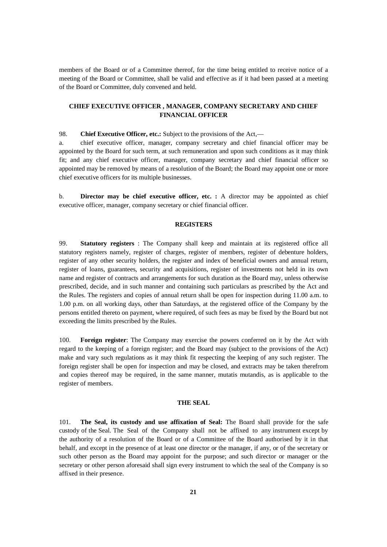members of the Board or of a Committee thereof, for the time being entitled to receive notice of a meeting of the Board or Committee, shall be valid and effective as if it had been passed at a meeting of the Board or Committee, duly convened and held.

# **CHIEF EXECUTIVE OFFICER , MANAGER, COMPANY SECRETARY AND CHIEF FINANCIAL OFFICER**

98. **Chief Executive Officer, etc.:** Subject to the provisions of the Act,—

a. chief executive officer, manager, company secretary and chief financial officer may be appointed by the Board for such term, at such remuneration and upon such conditions as it may think fit; and any chief executive officer, manager, company secretary and chief financial officer so appointed may be removed by means of a resolution of the Board; the Board may appoint one or more chief executive officers for its multiple businesses.

b. **Director may be chief executive officer, etc. :** A director may be appointed as chief executive officer, manager, company secretary or chief financial officer.

### **REGISTERS**

99. **Statutory registers** : The Company shall keep and maintain at its registered office all statutory registers namely, register of charges, register of members, register of debenture holders, register of any other security holders, the register and index of beneficial owners and annual return, register of loans, guarantees, security and acquisitions, register of investments not held in its own name and register of contracts and arrangements for such duration as the Board may, unless otherwise prescribed, decide, and in such manner and containing such particulars as prescribed by the Act and the Rules. The registers and copies of annual return shall be open for inspection during 11.00 a.m. to 1.00 p.m. on all working days, other than Saturdays, at the registered office of the Company by the persons entitled thereto on payment, where required, of such fees as may be fixed by the Board but not exceeding the limits prescribed by the Rules.

100. **Foreign register**: The Company may exercise the powers conferred on it by the Act with regard to the keeping of a foreign register; and the Board may (subject to the provisions of the Act) make and vary such regulations as it may think fit respecting the keeping of any such register. The foreign register shall be open for inspection and may be closed, and extracts may be taken therefrom and copies thereof may be required, in the same manner, mutatis mutandis, as is applicable to the register of members.

#### **THE SEAL**

101. **The Seal, its custody and use affixation of Seal:** The Board shall provide for the safe custody of the Seal. The Seal of the Company shall not be affixed to any instrument except by the authority of a resolution of the Board or of a Committee of the Board authorised by it in that behalf, and except in the presence of at least one director or the manager, if any, or of the secretary or such other person as the Board may appoint for the purpose; and such director or manager or the secretary or other person aforesaid shall sign every instrument to which the seal of the Company is so affixed in their presence.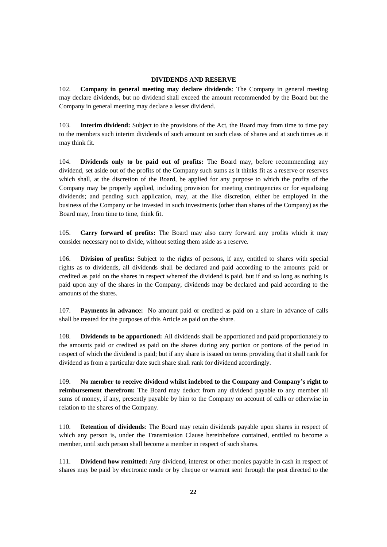## **DIVIDENDS AND RESERVE**

102. **Company in general meeting may declare dividends**: The Company in general meeting may declare dividends, but no dividend shall exceed the amount recommended by the Board but the Company in general meeting may declare a lesser dividend.

103. **Interim dividend:** Subject to the provisions of the Act, the Board may from time to time pay to the members such interim dividends of such amount on such class of shares and at such times as it may think fit.

104. **Dividends only to be paid out of profits:** The Board may, before recommending any dividend, set aside out of the profits of the Company such sums as it thinks fit as a reserve or reserves which shall, at the discretion of the Board, be applied for any purpose to which the profits of the Company may be properly applied, including provision for meeting contingencies or for equalising dividends; and pending such application, may, at the like discretion, either be employed in the business of the Company or be invested in such investments (other than shares of the Company) as the Board may, from time to time, think fit.

105. **Carry forward of profits:** The Board may also carry forward any profits which it may consider necessary not to divide, without setting them aside as a reserve.

106. **Division of profits:** Subject to the rights of persons, if any, entitled to shares with special rights as to dividends, all dividends shall be declared and paid according to the amounts paid or credited as paid on the shares in respect whereof the dividend is paid, but if and so long as nothing is paid upon any of the shares in the Company, dividends may be declared and paid according to the amounts of the shares.

107. **Payments in advance:** No amount paid or credited as paid on a share in advance of calls shall be treated for the purposes of this Article as paid on the share.

108. **Dividends to be apportioned:** All dividends shall be apportioned and paid proportionately to the amounts paid or credited as paid on the shares during any portion or portions of the period in respect of which the dividend is paid; but if any share is issued on terms providing that it shall rank for dividend as from a particular date such share shall rank for dividend accordingly.

109. **No member to receive dividend whilst indebted to the Company and Company's right to reimbursement therefrom:** The Board may deduct from any dividend payable to any member all sums of money, if any, presently payable by him to the Company on account of calls or otherwise in relation to the shares of the Company.

110. **Retention of dividends**: The Board may retain dividends payable upon shares in respect of which any person is, under the Transmission Clause hereinbefore contained, entitled to become a member, until such person shall become a member in respect of such shares.

111. **Dividend how remitted:** Any dividend, interest or other monies payable in cash in respect of shares may be paid by electronic mode or by cheque or warrant sent through the post directed to the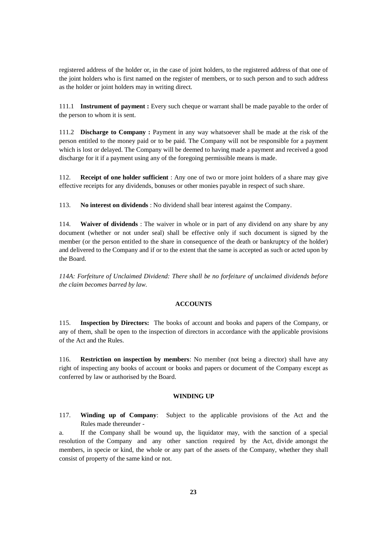registered address of the holder or, in the case of joint holders, to the registered address of that one of the joint holders who is first named on the register of members, or to such person and to such address as the holder or joint holders may in writing direct.

111.1 **Instrument of payment :** Every such cheque or warrant shall be made payable to the order of the person to whom it is sent.

111.2 **Discharge to Company :** Payment in any way whatsoever shall be made at the risk of the person entitled to the money paid or to be paid. The Company will not be responsible for a payment which is lost or delayed. The Company will be deemed to having made a payment and received a good discharge for it if a payment using any of the foregoing permissible means is made.

112. **Receipt of one holder sufficient** : Any one of two or more joint holders of a share may give effective receipts for any dividends, bonuses or other monies payable in respect of such share.

113. **No interest on dividends** : No dividend shall bear interest against the Company.

114. **Waiver of dividends** : The waiver in whole or in part of any dividend on any share by any document (whether or not under seal) shall be effective only if such document is signed by the member (or the person entitled to the share in consequence of the death or bankruptcy of the holder) and delivered to the Company and if or to the extent that the same is accepted as such or acted upon by the Board.

*114A: Forfeiture of Unclaimed Dividend: There shall be no forfeiture of unclaimed dividends before the claim becomes barred by law.*

#### **ACCOUNTS**

115. **Inspection by Directors:** The books of account and books and papers of the Company, or any of them, shall be open to the inspection of directors in accordance with the applicable provisions of the Act and the Rules.

116. **Restriction on inspection by members**: No member (not being a director) shall have any right of inspecting any books of account or books and papers or document of the Company except as conferred by law or authorised by the Board.

### **WINDING UP**

117. **Winding up of Company**: Subject to the applicable provisions of the Act and the Rules made thereunder -

a. If the Company shall be wound up, the liquidator may, with the sanction of a special resolution of the Company and any other sanction required by the Act, divide amongst the members, in specie or kind, the whole or any part of the assets of the Company, whether they shall consist of property of the same kind or not.